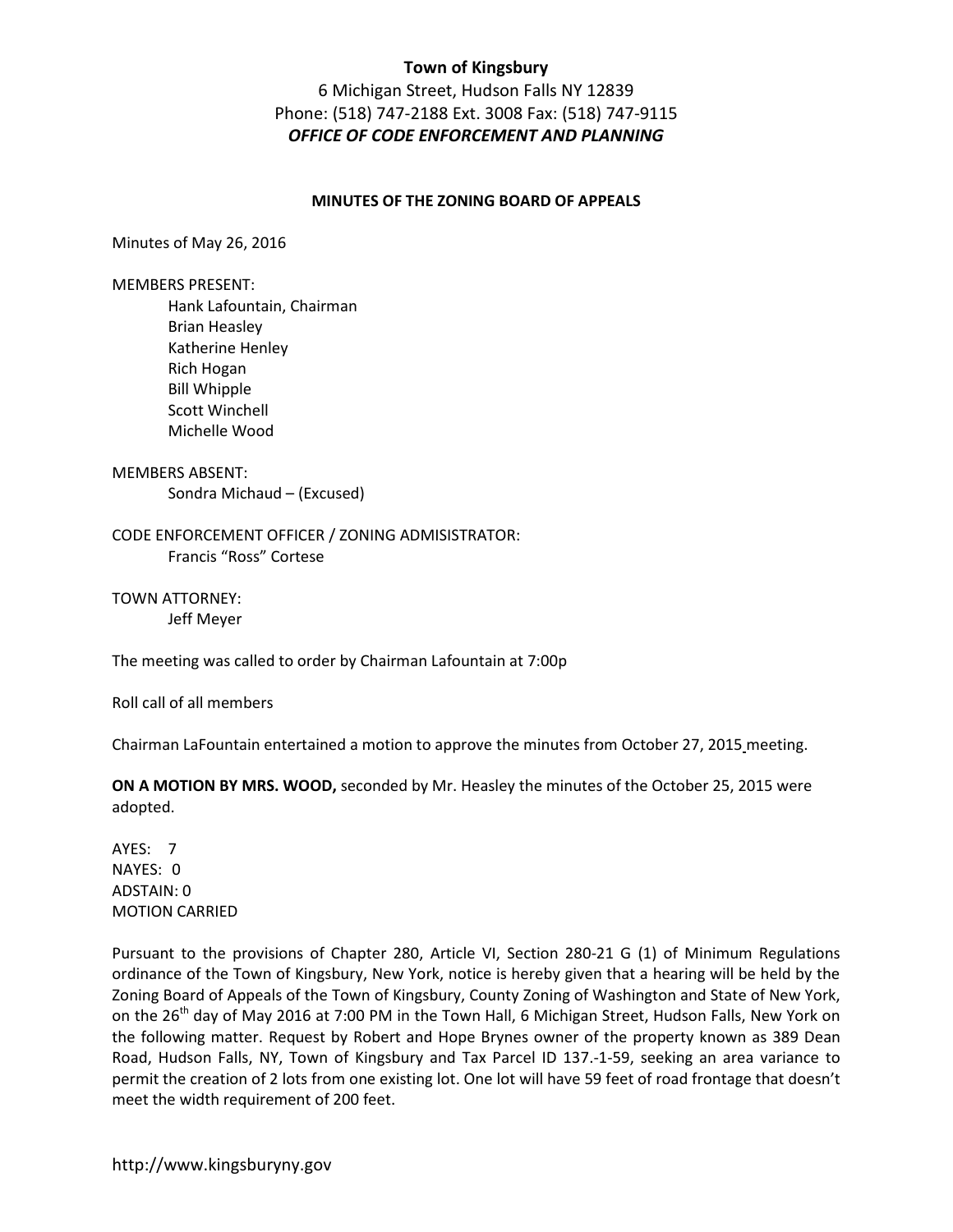6 Michigan Street, Hudson Falls NY 12839 Phone: (518) 747-2188 Ext. 3008 Fax: (518) 747-9115 *OFFICE OF CODE ENFORCEMENT AND PLANNING* 

#### **MINUTES OF THE ZONING BOARD OF APPEALS**

Minutes of May 26, 2016

MEMBERS PRESENT:

 Hank Lafountain, Chairman Brian Heasley Katherine Henley Rich Hogan Bill Whipple Scott Winchell Michelle Wood

### MEMBERS ABSENT:

Sondra Michaud – (Excused)

CODE ENFORCEMENT OFFICER / ZONING ADMISISTRATOR: Francis "Ross" Cortese

TOWN ATTORNEY: Jeff Meyer

The meeting was called to order by Chairman Lafountain at 7:00p

Roll call of all members

Chairman LaFountain entertained a motion to approve the minutes from October 27, 2015 meeting.

**ON A MOTION BY MRS. WOOD,** seconded by Mr. Heasley the minutes of the October 25, 2015 were adopted.

AYES: 7 NAYES: 0 ADSTAIN: 0 MOTION CARRIED

Pursuant to the provisions of Chapter 280, Article VI, Section 280-21 G (1) of Minimum Regulations ordinance of the Town of Kingsbury, New York, notice is hereby given that a hearing will be held by the Zoning Board of Appeals of the Town of Kingsbury, County Zoning of Washington and State of New York, on the 26<sup>th</sup> day of May 2016 at 7:00 PM in the Town Hall, 6 Michigan Street, Hudson Falls, New York on the following matter. Request by Robert and Hope Brynes owner of the property known as 389 Dean Road, Hudson Falls, NY, Town of Kingsbury and Tax Parcel ID 137.-1-59, seeking an area variance to permit the creation of 2 lots from one existing lot. One lot will have 59 feet of road frontage that doesn't meet the width requirement of 200 feet.

http://www.kingsburyny.gov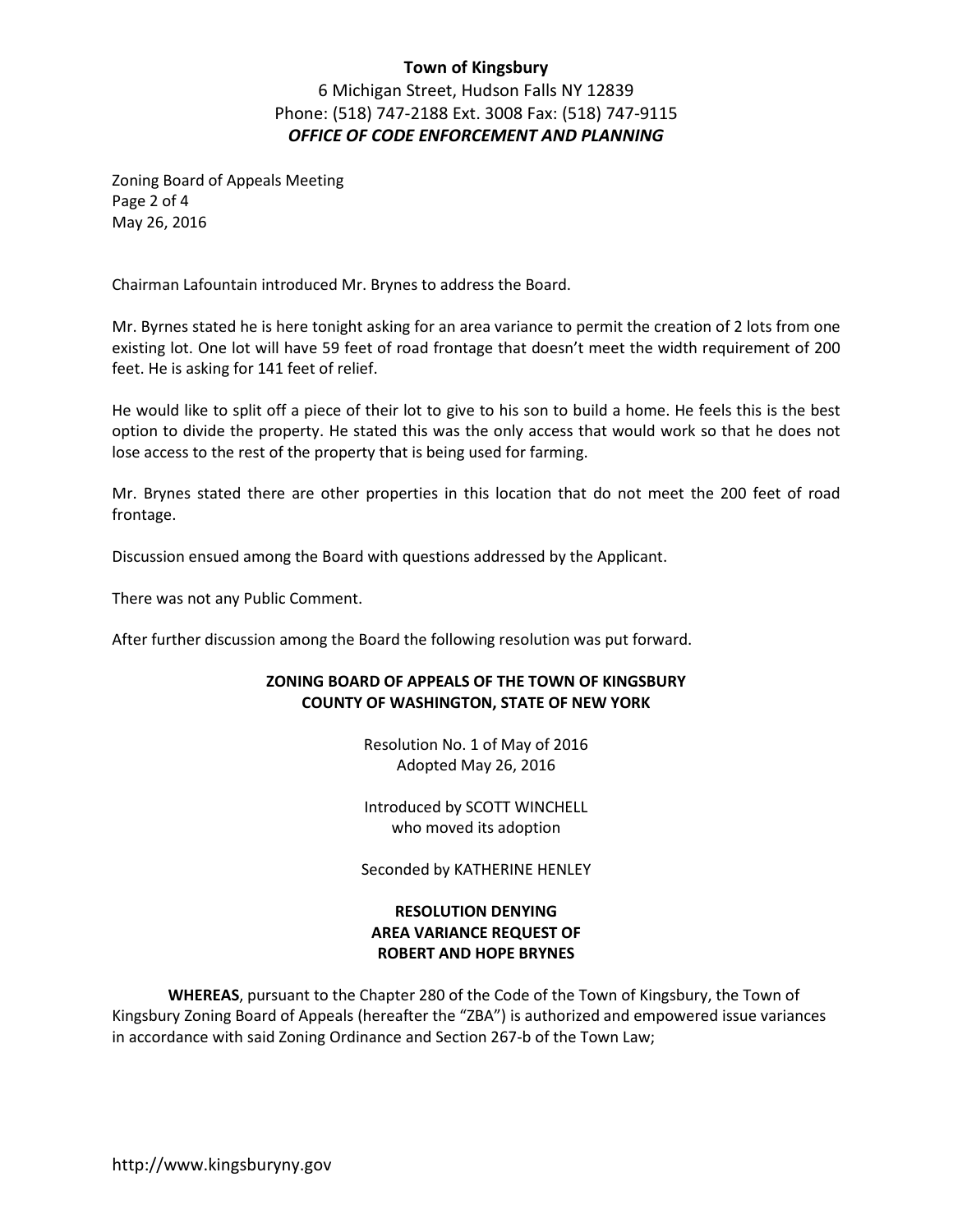6 Michigan Street, Hudson Falls NY 12839 Phone: (518) 747-2188 Ext. 3008 Fax: (518) 747-9115 *OFFICE OF CODE ENFORCEMENT AND PLANNING* 

Zoning Board of Appeals Meeting Page 2 of 4 May 26, 2016

Chairman Lafountain introduced Mr. Brynes to address the Board.

Mr. Byrnes stated he is here tonight asking for an area variance to permit the creation of 2 lots from one existing lot. One lot will have 59 feet of road frontage that doesn't meet the width requirement of 200 feet. He is asking for 141 feet of relief.

He would like to split off a piece of their lot to give to his son to build a home. He feels this is the best option to divide the property. He stated this was the only access that would work so that he does not lose access to the rest of the property that is being used for farming.

Mr. Brynes stated there are other properties in this location that do not meet the 200 feet of road frontage.

Discussion ensued among the Board with questions addressed by the Applicant.

There was not any Public Comment.

After further discussion among the Board the following resolution was put forward.

## **ZONING BOARD OF APPEALS OF THE TOWN OF KINGSBURY COUNTY OF WASHINGTON, STATE OF NEW YORK**

Resolution No. 1 of May of 2016 Adopted May 26, 2016

Introduced by SCOTT WINCHELL who moved its adoption

Seconded by KATHERINE HENLEY

# **RESOLUTION DENYING AREA VARIANCE REQUEST OF ROBERT AND HOPE BRYNES**

**WHEREAS**, pursuant to the Chapter 280 of the Code of the Town of Kingsbury, the Town of Kingsbury Zoning Board of Appeals (hereafter the "ZBA") is authorized and empowered issue variances in accordance with said Zoning Ordinance and Section 267-b of the Town Law;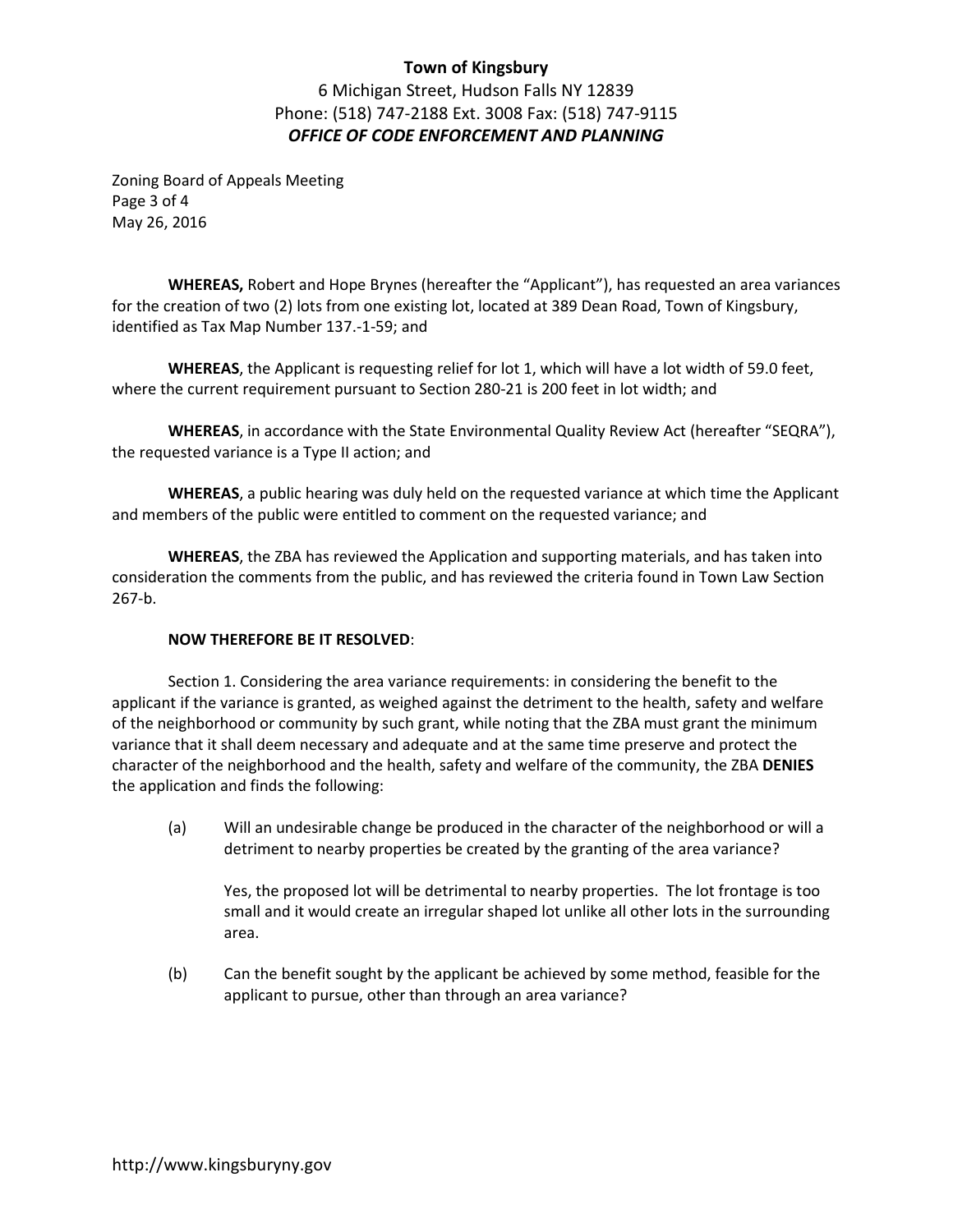6 Michigan Street, Hudson Falls NY 12839 Phone: (518) 747-2188 Ext. 3008 Fax: (518) 747-9115 *OFFICE OF CODE ENFORCEMENT AND PLANNING* 

Zoning Board of Appeals Meeting Page 3 of 4 May 26, 2016

**WHEREAS,** Robert and Hope Brynes (hereafter the "Applicant"), has requested an area variances for the creation of two (2) lots from one existing lot, located at 389 Dean Road, Town of Kingsbury, identified as Tax Map Number 137.-1-59; and

**WHEREAS**, the Applicant is requesting relief for lot 1, which will have a lot width of 59.0 feet, where the current requirement pursuant to Section 280-21 is 200 feet in lot width; and

**WHEREAS**, in accordance with the State Environmental Quality Review Act (hereafter "SEQRA"), the requested variance is a Type II action; and

**WHEREAS**, a public hearing was duly held on the requested variance at which time the Applicant and members of the public were entitled to comment on the requested variance; and

**WHEREAS**, the ZBA has reviewed the Application and supporting materials, and has taken into consideration the comments from the public, and has reviewed the criteria found in Town Law Section 267-b.

### **NOW THEREFORE BE IT RESOLVED**:

 Section 1. Considering the area variance requirements: in considering the benefit to the applicant if the variance is granted, as weighed against the detriment to the health, safety and welfare of the neighborhood or community by such grant, while noting that the ZBA must grant the minimum variance that it shall deem necessary and adequate and at the same time preserve and protect the character of the neighborhood and the health, safety and welfare of the community, the ZBA **DENIES** the application and finds the following:

 (a) Will an undesirable change be produced in the character of the neighborhood or will a detriment to nearby properties be created by the granting of the area variance?

Yes, the proposed lot will be detrimental to nearby properties. The lot frontage is too small and it would create an irregular shaped lot unlike all other lots in the surrounding area.

(b) Can the benefit sought by the applicant be achieved by some method, feasible for the applicant to pursue, other than through an area variance?